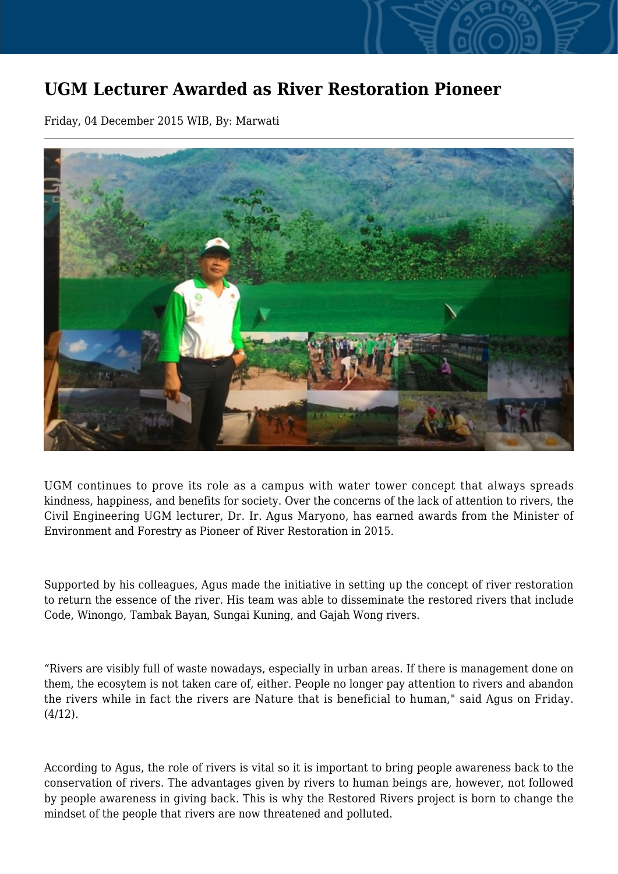## **UGM Lecturer Awarded as River Restoration Pioneer**

Friday, 04 December 2015 WIB, By: Marwati



UGM continues to prove its role as a campus with water tower concept that always spreads kindness, happiness, and benefits for society. Over the concerns of the lack of attention to rivers, the Civil Engineering UGM lecturer, Dr. Ir. Agus Maryono, has earned awards from the Minister of Environment and Forestry as Pioneer of River Restoration in 2015.

Supported by his colleagues, Agus made the initiative in setting up the concept of river restoration to return the essence of the river. His team was able to disseminate the restored rivers that include Code, Winongo, Tambak Bayan, Sungai Kuning, and Gajah Wong rivers.

"Rivers are visibly full of waste nowadays, especially in urban areas. If there is management done on them, the ecosytem is not taken care of, either. People no longer pay attention to rivers and abandon the rivers while in fact the rivers are Nature that is beneficial to human," said Agus on Friday.  $(4/12)$ .

According to Agus, the role of rivers is vital so it is important to bring people awareness back to the conservation of rivers. The advantages given by rivers to human beings are, however, not followed by people awareness in giving back. This is why the Restored Rivers project is born to change the mindset of the people that rivers are now threatened and polluted.